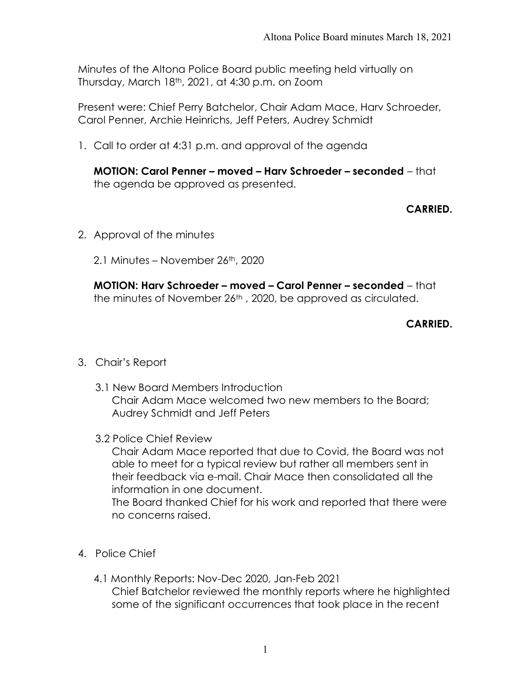Minutes of the Altona Police Board public meeting held virtually on Thursday, March 18th, 2021, at 4:30 p.m. on Zoom

Present were: Chief Perry Batchelor, Chair Adam Mace, Harv Schroeder, Carol Penner, Archie Heinrichs, Jeff Peters, Audrey Schmidt

1. Call to order at 4:31 p.m. and approval of the agenda

MOTION: Carol Penner – moved – Harv Schroeder – seconded – that the agenda be approved as presented.

CARRIED.

- 2. Approval of the minutes
	- 2.1 Minutes November 26th, 2020

MOTION: Harv Schroeder – moved – Carol Penner – seconded – that the minutes of November 26<sup>th</sup>, 2020, be approved as circulated.

# CARRIED.

- 3. Chair's Report
	- 3.1 New Board Members Introduction Chair Adam Mace welcomed two new members to the Board; Audrey Schmidt and Jeff Peters
	- 3.2 Police Chief Review

Chair Adam Mace reported that due to Covid, the Board was not able to meet for a typical review but rather all members sent in their feedback via e-mail. Chair Mace then consolidated all the information in one document.

The Board thanked Chief for his work and reported that there were no concerns raised.

- 4. Police Chief
	- 4.1 Monthly Reports: Nov-Dec 2020, Jan-Feb 2021 Chief Batchelor reviewed the monthly reports where he highlighted some of the significant occurrences that took place in the recent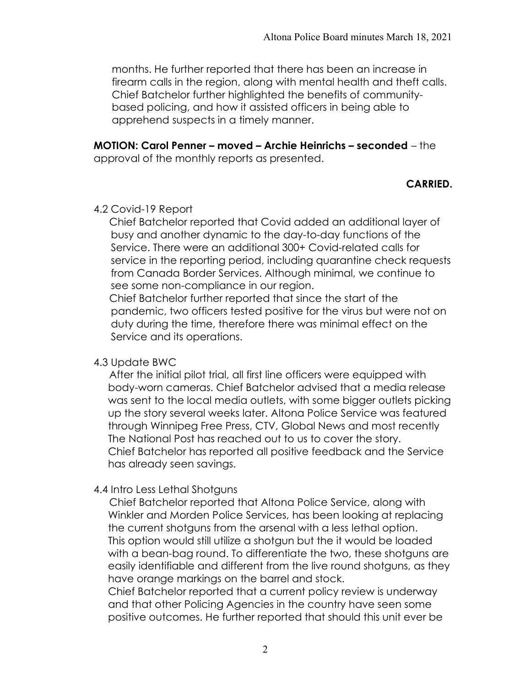months. He further reported that there has been an increase in firearm calls in the region, along with mental health and theft calls. Chief Batchelor further highlighted the benefits of communitybased policing, and how it assisted officers in being able to apprehend suspects in a timely manner.

MOTION: Carol Penner – moved – Archie Heinrichs – seconded – the approval of the monthly reports as presented.

## CARRIED.

### 4.2 Covid-19 Report

 Chief Batchelor reported that Covid added an additional layer of busy and another dynamic to the day-to-day functions of the Service. There were an additional 300+ Covid-related calls for service in the reporting period, including quarantine check requests from Canada Border Services. Although minimal, we continue to see some non-compliance in our region.

 Chief Batchelor further reported that since the start of the pandemic, two officers tested positive for the virus but were not on duty during the time, therefore there was minimal effect on the Service and its operations.

### 4.3 Update BWC

 After the initial pilot trial, all first line officers were equipped with body-worn cameras. Chief Batchelor advised that a media release was sent to the local media outlets, with some bigger outlets picking up the story several weeks later. Altona Police Service was featured through Winnipeg Free Press, CTV, Global News and most recently The National Post has reached out to us to cover the story. Chief Batchelor has reported all positive feedback and the Service has already seen savings.

## 4.4 Intro Less Lethal Shotguns

 Chief Batchelor reported that Altona Police Service, along with Winkler and Morden Police Services, has been looking at replacing the current shotguns from the arsenal with a less lethal option. This option would still utilize a shotgun but the it would be loaded with a bean-bag round. To differentiate the two, these shotguns are easily identifiable and different from the live round shotguns, as they have orange markings on the barrel and stock.

 Chief Batchelor reported that a current policy review is underway and that other Policing Agencies in the country have seen some positive outcomes. He further reported that should this unit ever be